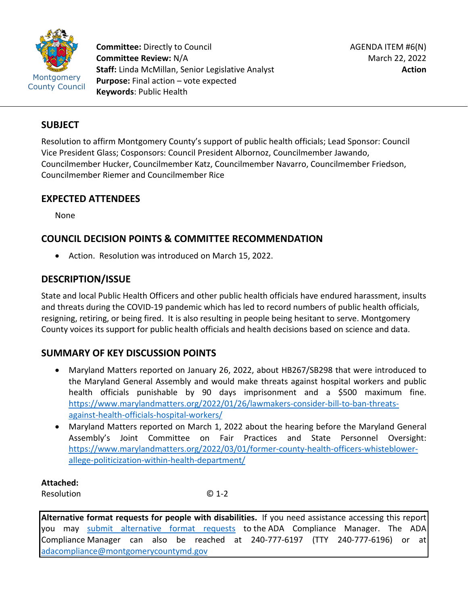

**Committee:** Directly to Council **Committee Review:** N/A **Staff:** Linda McMillan, Senior Legislative Analyst **Purpose:** Final action – vote expected **Keywords**: Public Health

## **SUBJECT**

Resolution to affirm Montgomery County's support of public health officials; Lead Sponsor: Council Vice President Glass; Cosponsors: Council President Albornoz, Councilmember Jawando, Councilmember Hucker, Councilmember Katz, Councilmember Navarro, Councilmember Friedson, Councilmember Riemer and Councilmember Rice

## **EXPECTED ATTENDEES**

None

# **COUNCIL DECISION POINTS & COMMITTEE RECOMMENDATION**

• Action. Resolution was introduced on March 15, 2022.

# **DESCRIPTION/ISSUE**

State and local Public Health Officers and other public health officials have endured harassment, insults and threats during the COVID-19 pandemic which has led to record numbers of public health officials, resigning, retiring, or being fired. It is also resulting in people being hesitant to serve. Montgomery County voices its support for public health officials and health decisions based on science and data.

## **SUMMARY OF KEY DISCUSSION POINTS**

- Maryland Matters reported on January 26, 2022, about HB267/SB298 that were introduced to the Maryland General Assembly and would make threats against hospital workers and public health officials punishable by 90 days imprisonment and a \$500 maximum fine. [https://www.marylandmatters.org/2022/01/26/lawmakers-consider-bill-to-ban-threats](https://www.marylandmatters.org/2022/01/26/lawmakers-consider-bill-to-ban-threats-against-health-officials-hospital-workers/)[against-health-officials-hospital-workers/](https://www.marylandmatters.org/2022/01/26/lawmakers-consider-bill-to-ban-threats-against-health-officials-hospital-workers/)
- Maryland Matters reported on March 1, 2022 about the hearing before the Maryland General Assembly's Joint Committee on Fair Practices and State Personnel Oversight: [https://www.marylandmatters.org/2022/03/01/former-county-health-officers-whisteblower](https://www.marylandmatters.org/2022/03/01/former-county-health-officers-whisteblower-allege-politicization-within-health-department/)[allege-politicization-within-health-department/](https://www.marylandmatters.org/2022/03/01/former-county-health-officers-whisteblower-allege-politicization-within-health-department/)

**Attached:**

Resolution © 1-2

**Alternative format requests for people with disabilities.** If you need assistance accessing this report you may [submit alternative format requests](https://gcc01.safelinks.protection.outlook.com/?url=http%3A%2F%2Fwww2.montgomerycountymd.gov%2Fmcgportalapps%2FAccessibilityForm.aspx&data=02%7C01%7Csandra.marin%40montgomerycountymd.gov%7C79d44e803a8846df027008d6ad4e4d1b%7C6e01b1f9b1e54073ac97778069a0ad64%7C0%7C0%7C636886950086244453&sdata=AT2lwLz22SWBJ8c92gXfspY8lQVeGCrUbqSPzpYheB0%3D&reserved=0) to the ADA Compliance Manager. The ADA Compliance Manager can also be reached at 240-777-6197 (TTY 240-777-6196) or at [adacompliance@montgomerycountymd.gov](mailto:adacompliance@montgomerycountymd.gov)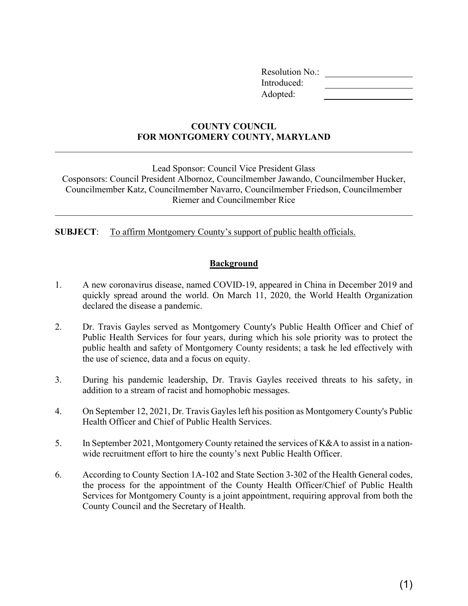| <b>Resolution No.:</b> |  |
|------------------------|--|
| Introduced:            |  |
| Adopted:               |  |

## **COUNTY COUNCIL FOR MONTGOMERY COUNTY, MARYLAND**

\_\_\_\_\_\_\_\_\_\_\_\_\_\_\_\_\_\_\_\_\_\_\_\_\_\_\_\_\_\_\_\_\_\_\_\_\_\_\_\_\_\_\_\_\_\_\_\_\_\_\_\_\_\_\_\_\_\_\_\_\_\_\_\_\_\_\_\_\_\_\_\_\_\_\_\_\_\_

Lead Sponsor: Council Vice President Glass

Cosponsors: Council President Albornoz, Councilmember Jawando, Councilmember Hucker, Councilmember Katz, Councilmember Navarro, Councilmember Friedson, Councilmember Riemer and Councilmember Rice

\_\_\_\_\_\_\_\_\_\_\_\_\_\_\_\_\_\_\_\_\_\_\_\_\_\_\_\_\_\_\_\_\_\_\_\_\_\_\_\_\_\_\_\_\_\_\_\_\_\_\_\_\_\_\_\_\_\_\_\_\_\_\_\_\_\_\_\_\_\_\_\_\_\_\_\_\_\_

**SUBJECT**: To affirm Montgomery County's support of public health officials.

#### **Background**

- 1. A new coronavirus disease, named COVID-19, appeared in China in December 2019 and quickly spread around the world. On March 11, 2020, the World Health Organization declared the disease a pandemic.
- 2. Dr. Travis Gayles served as Montgomery County's Public Health Officer and Chief of Public Health Services for four years, during which his sole priority was to protect the public health and safety of Montgomery County residents; a task he led effectively with the use of science, data and a focus on equity.
- 3. During his pandemic leadership, Dr. Travis Gayles received threats to his safety, in addition to a stream of racist and homophobic messages.
- 4. On September 12, 2021, Dr. Travis Gayles left his position as Montgomery County's Public Health Officer and Chief of Public Health Services.
- 5. In September 2021, Montgomery County retained the services of K&A to assist in a nationwide recruitment effort to hire the county's next Public Health Officer.
- 6. According to County Section 1A-102 and State Section 3-302 of the Health General codes, the process for the appointment of the County Health Officer/Chief of Public Health Services for Montgomery County is a joint appointment, requiring approval from both the County Council and the Secretary of Health.